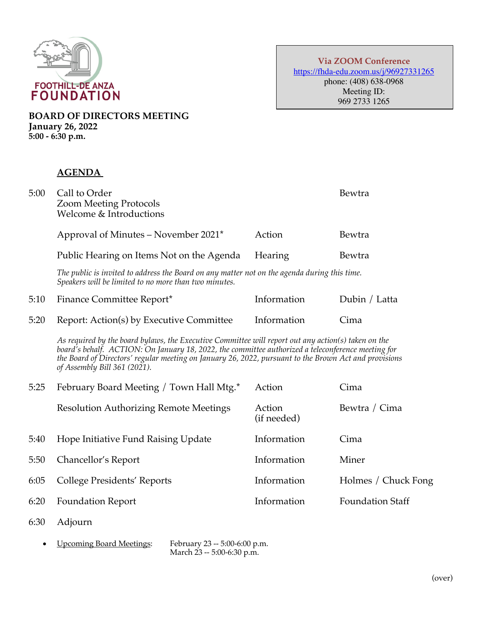

**Via ZOOM Conference** https://fhda-edu.zoom.us/j/96927331265 phone: (408) 638-0968 Meeting ID: 969 2733 1265

**BOARD OF DIRECTORS MEETING January 26, 2022 5:00 - 6:30 p.m.**

## **AGENDA**

| 5:00 | Call to Order<br><b>Zoom Meeting Protocols</b><br>Welcome & Introductions |                | Bewtra |
|------|---------------------------------------------------------------------------|----------------|--------|
|      | Approval of Minutes – November 2021*                                      | Action         | Bewtra |
|      | Public Hearing on Items Not on the Agenda                                 | <b>Hearing</b> | Bewtra |

*The public is invited to address the Board on any matter not on the agenda during this time. Speakers will be limited to no more than two minutes.*

| 5:10 Finance Committee Report*                | Information | Dubin / Latta |
|-----------------------------------------------|-------------|---------------|
| 5:20 Report: Action(s) by Executive Committee | Information | Cima          |

*As required by the board bylaws, the Executive Committee will report out any action(s) taken on the board's behalf. ACTION: On January 18, 2022, the committee authorized a teleconference meeting for the Board of Directors' regular meeting on January 26, 2022, pursuant to the Brown Act and provisions of Assembly Bill 361 (2021).*

| 5:25 | February Board Meeting / Town Hall Mtg.*      | Action                | Cima                    |
|------|-----------------------------------------------|-----------------------|-------------------------|
|      | <b>Resolution Authorizing Remote Meetings</b> | Action<br>(if needed) | Bewtra / Cima           |
| 5:40 | Hope Initiative Fund Raising Update           | Information           | Cima                    |
| 5:50 | Chancellor's Report                           | Information           | Miner                   |
| 6:05 | College Presidents' Reports                   | Information           | Holmes / Chuck Fong     |
| 6:20 | <b>Foundation Report</b>                      | Information           | <b>Foundation Staff</b> |

- 6:30 Adjourn
	- Upcoming Board Meetings: February 23 -- 5:00-6:00 p.m.

March 23 -- 5:00-6:30 p.m.